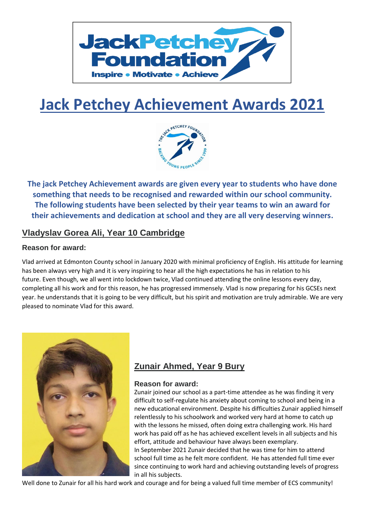

# **Jack Petchey Achievement Awards 2021**



**The jack Petchey Achievement awards are given every year to students who have done something that needs to be recognised and rewarded within our school community. The following students have been selected by their year teams to win an award for their achievements and dedication at school and they are all very deserving winners.**

### **Vladyslav Gorea Ali, Year 10 Cambridge**

#### **Reason for award:**

Vlad arrived at Edmonton County school in January 2020 with minimal proficiency of English. His attitude for learning has been always very high and it is very inspiring to hear all the high expectations he has in relation to his future. Even though, we all went into lockdown twice, Vlad continued attending the online lessons every day, completing all his work and for this reason, he has progressed immensely. Vlad is now preparing for his GCSEs next year. he understands that it is going to be very difficult, but his spirit and motivation are truly admirable. We are very pleased to nominate Vlad for this award.



## **Zunair Ahmed, Year 9 Bury**

#### **Reason for award:**

Zunair joined our school as a part-time attendee as he was finding it very difficult to self-regulate his anxiety about coming to school and being in a new educational environment. Despite his difficulties Zunair applied himself relentlessly to his schoolwork and worked very hard at home to catch up with the lessons he missed, often doing extra challenging work. His hard work has paid off as he has achieved excellent levels in all subjects and his effort, attitude and behaviour have always been exemplary. In September 2021 Zunair decided that he was time for him to attend school full time as he felt more confident.  He has attended full time ever since continuing to work hard and achieving outstanding levels of progress in all his subjects.

Well done to Zunair for all his hard work and courage and for being a valued full time member of ECS community!